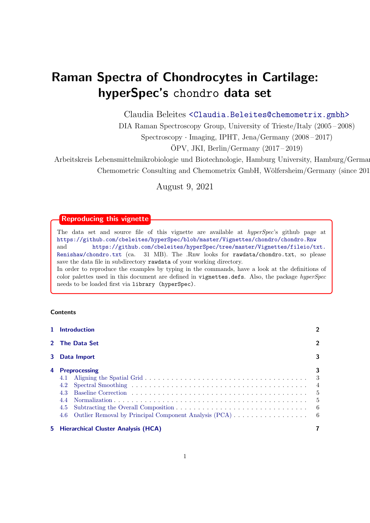# Raman Spectra of Chondrocytes in Cartilage: hyperSpec's chondro data set

Claudia Beleites <<Claudia.Beleites@chemometrix.gmbh>>

DIA Raman Spectroscopy Group, University of Trieste/Italy (2005 – 2008)

Spectroscopy · Imaging, IPHT, Jena/Germany (2008 – 2017)

 $\text{OPV}, \text{JKI}, \text{Berlin}/\text{Germany} (2017-2019)$ 

Arbeitskreis Lebensmittelmikrobiologie und Biotechnologie, Hamburg University, Hamburg/German Chemometric Consulting and Chemometrix GmbH, Wölfersheim/Germany (since 201

August 9, 2021

# Reproducing this vignette

The data set and source file of this vignette are available at hyperSpec's github page at <https://github.com/cbeleites/hyperSpec/blob/master/Vignettes/chondro/chondro.Rnw> and [https://github.com/cbeleites/hyperSpec/tree/master/Vignettes/fileio/txt.](https://github.com/cbeleites/hyperSpec/tree/master/Vignettes/fileio/txt.Renishaw/chondro.txt) [Renishaw/chondro.txt](https://github.com/cbeleites/hyperSpec/tree/master/Vignettes/fileio/txt.Renishaw/chondro.txt) (ca. 31 MB). The .Rnw looks for rawdata/chondro.txt, so please save the data file in subdirectory rawdata of your working directory. In order to reproduce the examples by typing in the commands, have a look at the definitions of color palettes used in this document are defined in vignettes.defs. Also, the package hyperSpec needs to be loaded first via library (hyperSpec).

# **Contents**

|   | 1 Introduction                                                 | $\overline{2}$                               |
|---|----------------------------------------------------------------|----------------------------------------------|
|   | 2 The Data Set                                                 | 2                                            |
| 3 | Data Import                                                    | 3                                            |
| 4 | <b>Preprocessing</b><br>4.1<br>4.2<br>4.3<br>4.4<br>4.5<br>4.6 | 3<br>-3<br>$\overline{4}$<br>-5<br>-5<br>- 6 |
|   | 5 Hierarchical Cluster Analysis (HCA)                          |                                              |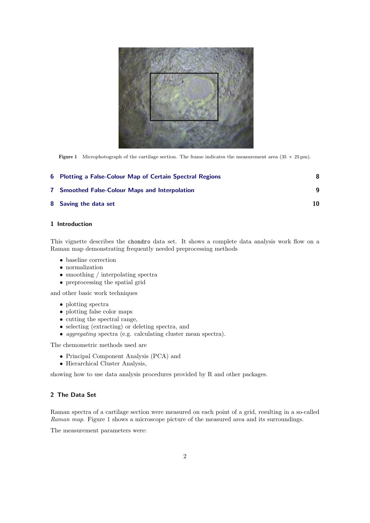<span id="page-1-2"></span>

**Figure 1** Microphotograph of the cartilage section. The frame indicates the measurement area  $(35 \times 25 \text{ µm})$ .

| 6 Plotting a False-Colour Map of Certain Spectral Regions |    |
|-----------------------------------------------------------|----|
| <b>7</b> Smoothed False-Colour Maps and Interpolation     | a  |
| 8 Saving the data set                                     | 10 |

## <span id="page-1-0"></span>1 Introduction

This vignette describes the chondro data set. It shows a complete data analysis work flow on a Raman map demonstrating frequently needed preprocessing methods

- baseline correction
- normalization
- smoothing / interpolating spectra
- preprocessing the spatial grid

and other basic work techniques

- plotting spectra
- plotting false color maps
- cutting the spectral range,
- selecting (extracting) or deleting spectra, and
- aggregating spectra (e.g. calculating cluster mean spectra).

The chemometric methods used are

- Principal Component Analysis (PCA) and
- Hierarchical Cluster Analysis,

showing how to use data analysis procedures provided by R and other packages.

# <span id="page-1-1"></span>2 The Data Set

Raman spectra of a cartilage section were measured on each point of a grid, resulting in a so-called Raman map. Figure [1](#page-1-2) shows a microscope picture of the measured area and its surroundings.

The measurement parameters were: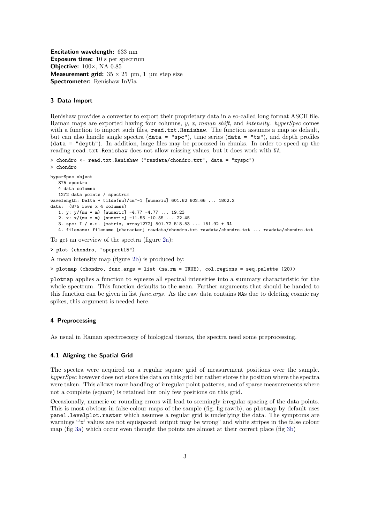Excitation wavelength: 633 nm Exposure time: 10 s per spectrum Objective:  $100 \times$ , NA 0.85 Measurement grid:  $35 \times 25$  µm, 1 µm step size Spectrometer: Renishaw InVia

#### <span id="page-2-0"></span>3 Data Import

Renishaw provides a converter to export their proprietary data in a so-called long format ASCII file. Raman maps are exported having four columns, y, x, raman shift, and intensity. hyperSpec comes with a function to import such files, read.txt.Renishaw. The function assumes a map as default, but can also handle single spectra (data = "spc"), time series (data = "ts"), and depth profiles (data = "depth"). In addition, large files may be processed in chunks. In order to speed up the reading read.txt.Renishaw does not allow missing values, but it does work with NA.

```
> chondro <- read.txt.Renishaw ("rawdata/chondro.txt", data = "xyspc")
> chondro
hyperSpec object
   875 spectra
   4 data columns
   1272 data points / spectrum
wavelength: Delta * tilde(nu)/cm^-1 [numeric] 601.62 602.66 ... 1802.2
data: (875 rows x 4 columns)
   1. y: y/(mu * m) [numeric] -4.77 -4.77 ... 19.23
   2. x: x/(mu * m) [numeric] -11.55 -10.55 ... 22.45
   3. spc: I / a.u. [matrix, array1272] 501.72 518.53 ... 151.92 + NA
   4. filename: filename [character] rawdata/chondro.txt rawdata/chondro.txt ... rawdata/chondro.txt
```
To get an overview of the spectra (figure [2a\)](#page-3-1):

```
> plot (chondro, "spcprctl5")
```
A mean intensity map (figure [2b\)](#page-3-2) is produced by:

> plotmap (chondro, func.args = list (na.rm = TRUE), col.regions = seq.palette (20))

plotmap applies a function to squeeze all spectral intensities into a summary characteristic for the whole spectrum. This function defaults to the mean. Further arguments that should be handed to this function can be given in list func.args. As the raw data contains NAs due to deleting cosmic ray spikes, this argument is needed here.

#### <span id="page-2-1"></span>4 Preprocessing

As usual in Raman spectroscopy of biological tissues, the spectra need some preprocessing.

#### <span id="page-2-2"></span>4.1 Aligning the Spatial Grid

The spectra were acquired on a regular square grid of measurement positions over the sample. hyperSpec however does not store the data on this grid but rather stores the position where the spectra were taken. This allows more handling of irregular point patterns, and of sparse measurements where not a complete (square) is retained but only few positions on this grid.

Occasionally, numeric or rounding errors will lead to seemingly irregular spacing of the data points. This is most obvious in false-colour maps of the sample (fig. fig:raw:b), as plotmap by default uses panel.levelplot.raster which assumes a regular grid is underlying the data. The symptoms are warnings "'x' values are not equispaced; output may be wrong" and white stripes in the false colour map (fig [3a\)](#page-3-3) which occur even thought the points are almost at their correct place (fig [3b\)](#page-3-4)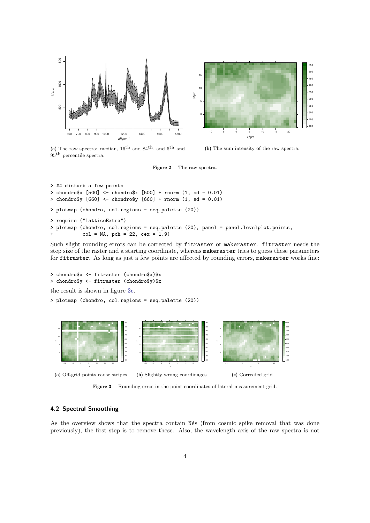<span id="page-3-1"></span>

(a) The raw spectra: median,  $16^{th}$  and  $84^{th}$ , and  $5^{th}$  and <sup>95</sup>th percentile spectra.

<span id="page-3-2"></span>(b) The sum intensity of the raw spectra.

Figure 2 The raw spectra.

```
> ## disturb a few points
> chondro$x [500] <- chondro$x [500] + rnorm (1, sd = 0.01)
> chondro$y [660] <- chondro$y [660] + rnorm (1, sd = 0.01)
> plotmap (chondro, col.regions = seq.palette (20))
> require ("latticeExtra")
> plotmap (chondro, col.regions = seq.palette (20), panel = panel.levelplot.points,
           col = NA, pch = 22, cex = 1.9)
```
Such slight rounding errors can be corrected by fitraster or makeraster. fitraster needs the step size of the raster and a starting coordinate, whereas makeraster tries to guess these parameters for fitraster. As long as just a few points are affected by rounding errors, makeraster works fine:

```
> chondro$x <- fitraster (chondro$x)$x
> chondro$y <- fitraster (chondro$y)$x
the result is shown in figure 3c.
```
> plotmap (chondro, col.regions = seq.palette (20))

<span id="page-3-3"></span>

<span id="page-3-5"></span><span id="page-3-4"></span>Figure 3 Rounding erros in the point coordinates of lateral measurement grid.

#### <span id="page-3-0"></span>4.2 Spectral Smoothing

As the overview shows that the spectra contain NAs (from cosmic spike removal that was done previously), the first step is to remove these. Also, the wavelength axis of the raw spectra is not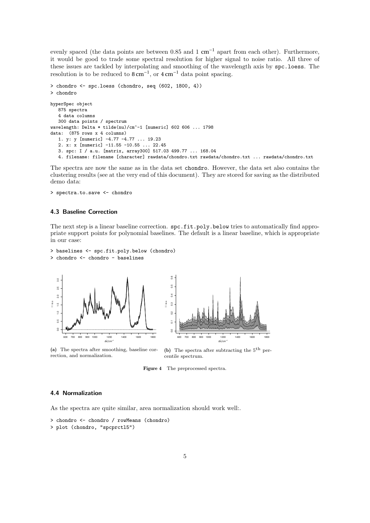evenly spaced (the data points are between 0.85 and 1 cm<sup>-1</sup> apart from each other). Furthermore, it would be good to trade some spectral resolution for higher signal to noise ratio. All three of these issues are tackled by interpolating and smoothing of the wavelength axis by spc.loess. The resolution is to be reduced to  $8 \text{ cm}^{-1}$ , or  $4 \text{ cm}^{-1}$  data point spacing.

```
> chondro <- spc.loess (chondro, seq (602, 1800, 4))
> chondro
hyperSpec object
   875 spectra
   4 data columns
   300 data points / spectrum
wavelength: Delta * tilde(nu)/cm<sup>\sim-1 [numeric] 602 606 ... 1798</sup>
data: (875 rows x 4 columns)
   1. y: y [numeric] -4.77 -4.77 ... 19.23
   2. x: x [numeric] -11.55 -10.55 ... 22.45
   3. spc: I / a.u. [matrix, array300] 517.03 499.77 ... 168.04
   4. filename: filename [character] rawdata/chondro.txt rawdata/chondro.txt ... rawdata/chondro.txt
```
The spectra are now the same as in the data set chondro. However, the data set also contains the clustering results (see at the very end of this document). They are stored for saving as the distributed demo data:

> spectra.to.save <- chondro

#### <span id="page-4-0"></span>4.3 Baseline Correction

The next step is a linear baseline correction.  $\texttt{spc.fit.poly.below tries to automatically find approximations}$ priate support points for polynomial baselines. The default is a linear baseline, which is appropriate in our case:

```
> baselines <- spc.fit.poly.below (chondro)
> chondro <- chondro - baselines
```
<span id="page-4-2"></span>

(a) The spectra after smoothing, baseline correction, and normalization.



<span id="page-4-3"></span>(b) The spectra after subtracting the  $5<sup>th</sup>$  percentile spectrum.

Figure 4 The preprocessed spectra.

## <span id="page-4-1"></span>4.4 Normalization

As the spectra are quite similar, area normalization should work well:.

```
> chondro <- chondro / rowMeans (chondro)
> plot (chondro, "spcprctl5")
```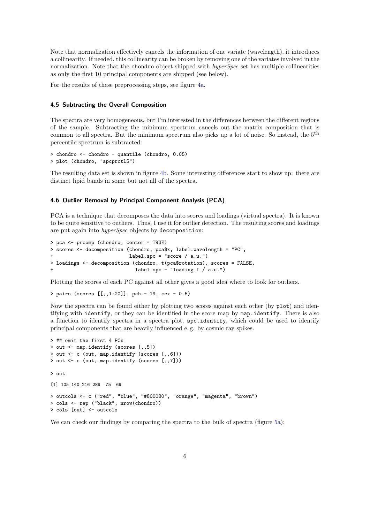Note that normalization effectively cancels the information of one variate (wavelength), it introduces a collinearity. If needed, this collinearity can be broken by removing one of the variates involved in the normalization. Note that the chondro object shipped with *hyperSpec* set has multiple collinearities as only the first 10 principal components are shipped (see below).

For the results of these preprocessing steps, see figure [4a.](#page-4-2)

### <span id="page-5-0"></span>4.5 Subtracting the Overall Composition

The spectra are very homogeneous, but I'm interested in the differences between the different regions of the sample. Subtracting the minimum spectrum cancels out the matrix composition that is common to all spectra. But the minimum spectrum also picks up a lot of noise. So instead, the 5<sup>th</sup> percentile spectrum is subtracted:

```
> chondro <- chondro - quantile (chondro, 0.05)
> plot (chondro, "spcprctl5")
```
The resulting data set is shown in figure [4b.](#page-4-3) Some interesting differences start to show up: there are distinct lipid bands in some but not all of the spectra.

## <span id="page-5-1"></span>4.6 Outlier Removal by Principal Component Analysis (PCA)

PCA is a technique that decomposes the data into scores and loadings (virtual spectra). It is known to be quite sensitive to outliers. Thus, I use it for outlier detection. The resulting scores and loadings are put again into hyperSpec objects by decomposition:

```
> pca <- prcomp (chondro, center = TRUE)
> scores <- decomposition (chondro, pca$x, label.wavelength = "PC",
                          label.spc = "score / a.u."> loadings <- decomposition (chondro, t(pca$rotation), scores = FALSE,
                             label.spc = "loading I / a.u.")
```
Plotting the scores of each PC against all other gives a good idea where to look for outliers.

> pairs (scores [[,,1:20]], pch = 19, cex = 0.5)

Now the spectra can be found either by plotting two scores against each other (by plot) and identifying with identify, or they can be identified in the score map by map.identify. There is also a function to identify spectra in a spectra plot, spc.identify, which could be used to identify principal components that are heavily influenced e. g. by cosmic ray spikes.

```
> ## omit the first 4 PCs
> out <- map.identify (scores [,,5])
> out <- c (out, map.identify (scores [,,6]))
> out <- c (out, map.identify (scores [,,7]))
> out
[1] 105 140 216 289 75 69
> outcols <- c ("red", "blue", "#800080", "orange", "magenta", "brown")
> cols <- rep ("black", nrow(chondro))
> cols [out] <- outcols
```
We can check our findings by comparing the spectra to the bulk of spectra (figure [5a\)](#page-6-1):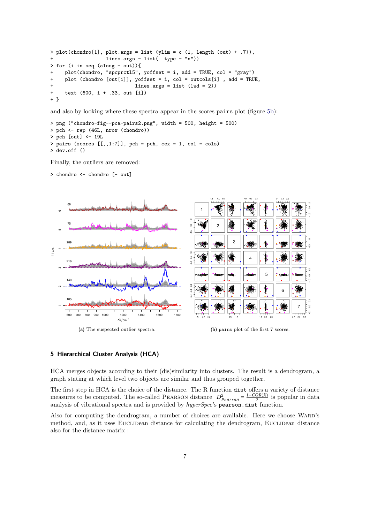```
> plot(charor [1], plot.argv = list (ylim = c (1, length (out) + .7)),lines.args = list( type = "n")> for (i in seq (along = out)){
+ plot(chondro, "spcprctl5", yoffset = i, add = TRUE, col = "gray")
    plot (chondro [out[i]], yoffset = i, col = outcols[i], add = TRUE,
                            lines.args = list (lwd = 2))text (600, i + .33, out [i])+ }
```
and also by looking where these spectra appear in the scores pairs plot (figure [5b\)](#page-6-2):

```
> png ("chondro-fig--pca-pairs2.png", width = 500, height = 500)
> pch <- rep (46L, nrow (chondro))
> pch [out] <- 19L
> pairs (scores [[,1:7]], pch = pch, cex = 1, col = cols)
> dev.off ()
```
Finally, the outliers are removed:

<span id="page-6-1"></span>> chondro <- chondro [- out]



#### <span id="page-6-2"></span><span id="page-6-0"></span>5 Hierarchical Cluster Analysis (HCA)

HCA merges objects according to their (dis)similarity into clusters. The result is a dendrogram, a graph stating at which level two objects are similar and thus grouped together.

The first step in HCA is the choice of the distance. The R function dist offers a variety of distance measures to be computed. The so-called PEARSON distance  $D_{Pearson}^2 = \frac{1-COR(X)}{2}$  is popular in data analysis of vibrational spectra and is provided by *hyperSpec*'s pearson.dist function.

Also for computing the dendrogram, a number of choices are available. Here we choose WARD's method, and, as it uses EUCLIDean distance for calculating the dendrogram, EUCLIDean distance also for the distance matrix :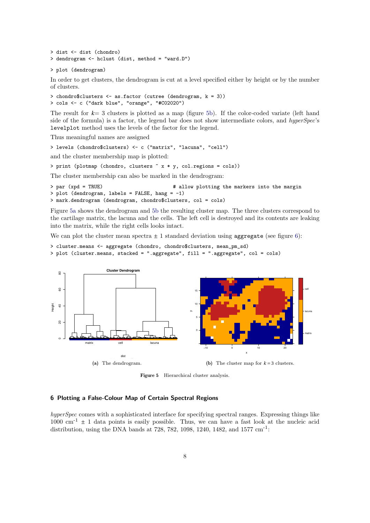```
> dist <- dist (chondro)
> dendrogram <- hclust (dist, method = "ward.D")
```

```
> plot (dendrogram)
```
In order to get clusters, the dendrogram is cut at a level specified either by height or by the number of clusters.

```
> chondro$clusters <- as.factor (cutree (dendrogram, k = 3))
> cols <- c ("dark blue", "orange", "#C02020")
```
The result for *k*= 3 clusters is plotted as a map (figure [5b\)](#page-6-2). If the color-coded variate (left hand side of the formula) is a factor, the legend bar does not show intermediate colors, and hyperSpec's levelplot method uses the levels of the factor for the legend.

Thus meaningful names are assigned

```
> levels (chondro$clusters) <- c ("matrix", "lacuna", "cell")
```
and the cluster membership map is plotted:

```
> print (plotmap (chondro, clusters ~ x * y, col.regions = cols))
```
The cluster membership can also be marked in the dendrogram:

```
> par (xpd = TRUE) + allow plotting the markers into the margin
> plot (dendrogram, labels = FALSE, hang = -1)
> mark.dendrogram (dendrogram, chondro$clusters, col = cols)
```
Figure [5a](#page-6-1) shows the dendrogram and [5b](#page-6-2) the resulting cluster map. The three clusters correspond to the cartilage matrix, the lacuna and the cells. The left cell is destroyed and its contents are leaking into the matrix, while the right cells looks intact.

We can plot the cluster mean spectra  $\pm 1$  standard deviation using aggregate (see figure [6\)](#page-8-1):

```
> cluster.means <- aggregate (chondro, chondro$clusters, mean_pm_sd)
> plot (cluster.means, stacked = ".aggregate", fill = ".aggregate", col = cols)
```


Figure 5 Hierarchical cluster analysis.

## <span id="page-7-0"></span>6 Plotting a False-Colour Map of Certain Spectral Regions

hyperSpec comes with a sophisticated interface for specifying spectral ranges. Expressing things like  $1000 \text{ cm}^{-1} \pm 1$  data points is easily possible. Thus, we can have a fast look at the nucleic acid distribution, using the DNA bands at 728, 782, 1098, 1240, 1482, and 1577 cm<sup>-1</sup>: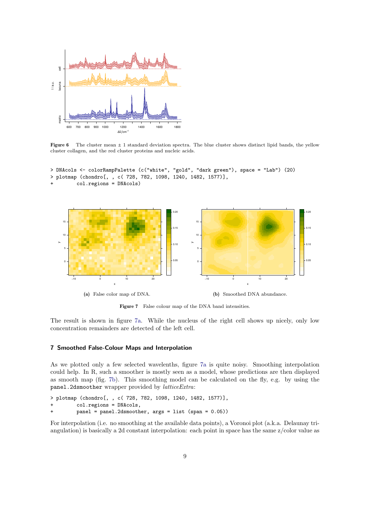<span id="page-8-1"></span>

Figure 6 The cluster mean  $\pm 1$  standard deviation spectra. The blue cluster shows distinct lipid bands, the yellow cluster collagen, and the red cluster proteins and nucleic acids.

```
> DNAcols <- colorRampPalette (c("white", "gold", "dark green"), space = "Lab") (20)
> plotmap (chondro[, , c( 728, 782, 1098, 1240, 1482, 1577)],
         + col.regions = DNAcols)
```
<span id="page-8-2"></span>

<span id="page-8-3"></span>Figure 7 False colour map of the DNA band intensities.

The result is shown in figure [7a.](#page-8-2) While the nucleus of the right cell shows up nicely, only low concentration remainders are detected of the left cell.

#### <span id="page-8-0"></span>7 Smoothed False-Colour Maps and Interpolation

As we plotted only a few selected wavelenths, figure [7a](#page-8-2) is quite noisy. Smoothing interpolation could help. In R, such a smoother is mostly seen as a model, whose predictions are then displayed as smooth map (fig. [7b\)](#page-8-3). This smoothing model can be calculated on the fly, e.g. by using the panel.2dsmoother wrapper provided by *latticeExtra*:

```
> plotmap (chondro[, , c( 728, 782, 1098, 1240, 1482, 1577)],
```

```
col.regions = DNAcols,
```

```
panel = panel.2dsmoother, args = list (span = 0.05))
```
For interpolation (i.e. no smoothing at the available data points), a Voronoi plot (a.k.a. Delaunay triangulation) is basically a 2d constant interpolation: each point in space has the same z/color value as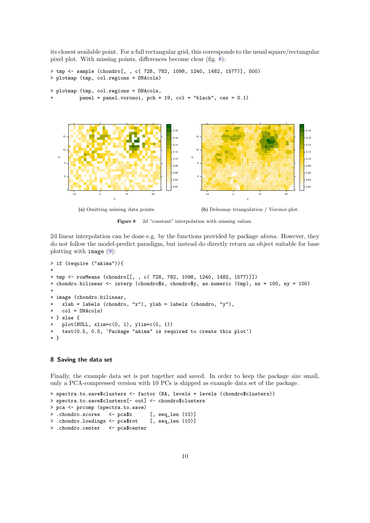its closest available point. For a full rectangular grid, this corresponds to the usual square/rectangular pixel plot. With missing points, differences become clear (fig. [8\)](#page-9-1):

```
> tmp <- sample (chondro[, , c( 728, 782, 1098, 1240, 1482, 1577)], 500)
> plotmap (tmp, col.regions = DNAcols)
> plotmap (tmp, col.regions = DNAcols,
         panel = panel.voronoi, pch = 19, col = "black", cex = 0.1)
```
<span id="page-9-1"></span>

(a) Omitting missing data points.

(b) Delaunay triangulation / Voronoi plot.

Figure 8 2d "constant" interpolation with missing values.

2d linear interpolation can be done e.g. by the functions provided by package akima. However, they do not follow the model-predict paradigm, but instead do directly return an object suitable for base plotting with image [\(9\)](#page-10-0):

```
> if (require ("akima")){
+
+ tmp <- rowMeans (chondro[[, , c( 728, 782, 1098, 1240, 1482, 1577)]])
+ chondro.bilinear <- interp (chondro$x, chondro$y, as.numeric (tmp), nx = 100, ny = 100)
+
+ image (chondro.bilinear,
    xlab = labels (chondro, "x"), ylab = labels (chondro, "y"),col = DMACols+ } else {
    {\tt plot}({\tt NULL, \ xlim=c(0, 1), \ ylim=c(0, 1)})text(0.5, 0.5, 'Package 'akima' is required to create this plot')+ }
```
#### <span id="page-9-0"></span>8 Saving the data set

Finally, the example data set is put together and saved. In order to keep the package size small, only a PCA-compressed version with 10 PCs is shipped as example data set of the package.

```
> spectra.to.save$clusters <- factor (NA, levels = levels (chondro$clusters))
> spectra.to.save$clusters[- out] <- chondro$clusters
> pca <- prcomp (spectra.to.save)
> .chondro.scores <- pca$x [, seq_len (10)]
> .chondro.loadings <- pca$rot [, seq_len (10)]
> .chondro.center <- pca$center
```